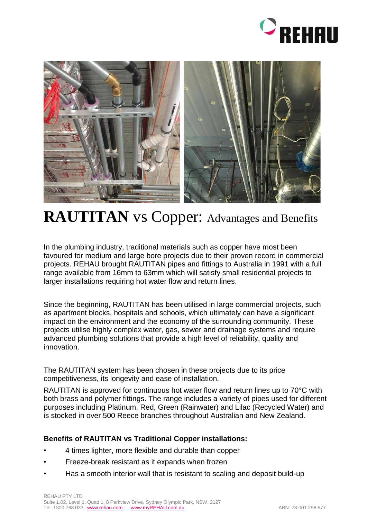



## **RAUTITAN** vs Copper: Advantages and Benefits

In the plumbing industry, traditional materials such as copper have most been favoured for medium and large bore projects due to their proven record in commercial projects. REHAU brought RAUTITAN pipes and fittings to Australia in 1991 with a full range available from 16mm to 63mm which will satisfy small residential projects to larger installations requiring hot water flow and return lines.

Since the beginning, RAUTITAN has been utilised in large commercial projects, such as apartment blocks, hospitals and schools, which ultimately can have a significant impact on the environment and the economy of the surrounding community. These projects utilise highly complex water, gas, sewer and drainage systems and require advanced plumbing solutions that provide a high level of reliability, quality and innovation.

The RAUTITAN system has been chosen in these projects due to its price competitiveness, its longevity and ease of installation.

RAUTITAN is approved for continuous hot water flow and return lines up to 70°C with both brass and polymer fittings. The range includes a variety of pipes used for different purposes including Platinum, Red, Green (Rainwater) and Lilac (Recycled Water) and is stocked in over 500 Reece branches throughout Australian and New Zealand.

## **Benefits of RAUTITAN vs Traditional Copper installations:**

- 4 times lighter, more flexible and durable than copper
- Freeze-break resistant as it expands when frozen
- Has a smooth interior wall that is resistant to scaling and deposit build-up